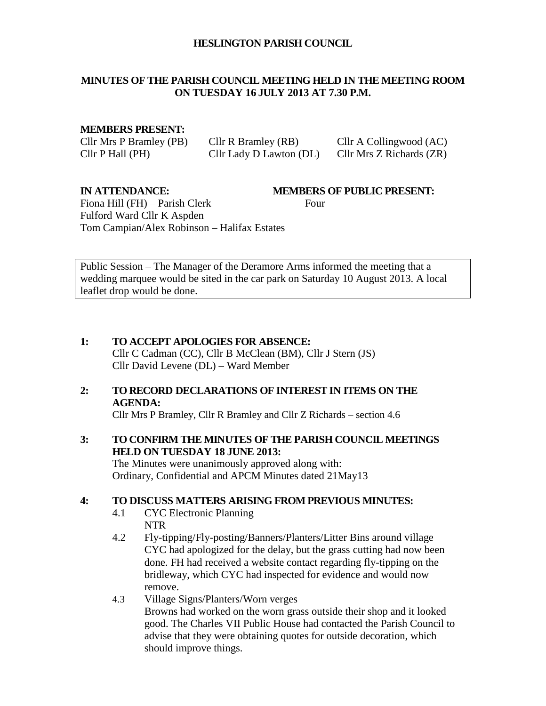#### **HESLINGTON PARISH COUNCIL**

## **MINUTES OF THE PARISH COUNCIL MEETING HELD IN THE MEETING ROOM ON TUESDAY 16 JULY 2013 AT 7.30 P.M.**

## **MEMBERS PRESENT:**

Cllr Mrs P Bramley (PB) Cllr R Bramley (RB) Cllr A Collingwood (AC) Cllr P Hall (PH) Cllr Lady D Lawton (DL) Cllr Mrs Z Richards (ZR)

**IN ATTENDANCE: MEMBERS OF PUBLIC PRESENT:**

Fiona Hill (FH) – Parish Clerk Four Fulford Ward Cllr K Aspden Tom Campian/Alex Robinson – Halifax Estates

Public Session – The Manager of the Deramore Arms informed the meeting that a wedding marquee would be sited in the car park on Saturday 10 August 2013. A local leaflet drop would be done.

**1: TO ACCEPT APOLOGIES FOR ABSENCE:** Cllr C Cadman (CC), Cllr B McClean (BM), Cllr J Stern (JS) Cllr David Levene (DL) – Ward Member

# **2: TO RECORD DECLARATIONS OF INTEREST IN ITEMS ON THE AGENDA:**

Cllr Mrs P Bramley, Cllr R Bramley and Cllr Z Richards – section 4.6

# **3: TO CONFIRM THE MINUTES OF THE PARISH COUNCIL MEETINGS HELD ON TUESDAY 18 JUNE 2013:**

The Minutes were unanimously approved along with: Ordinary, Confidential and APCM Minutes dated 21May13

# **4: TO DISCUSS MATTERS ARISING FROM PREVIOUS MINUTES:**

- 4.1 CYC Electronic Planning NTR
- 4.2 Fly-tipping/Fly-posting/Banners/Planters/Litter Bins around village CYC had apologized for the delay, but the grass cutting had now been done. FH had received a website contact regarding fly-tipping on the bridleway, which CYC had inspected for evidence and would now remove.
- 4.3 Village Signs/Planters/Worn verges Browns had worked on the worn grass outside their shop and it looked good. The Charles VII Public House had contacted the Parish Council to advise that they were obtaining quotes for outside decoration, which should improve things.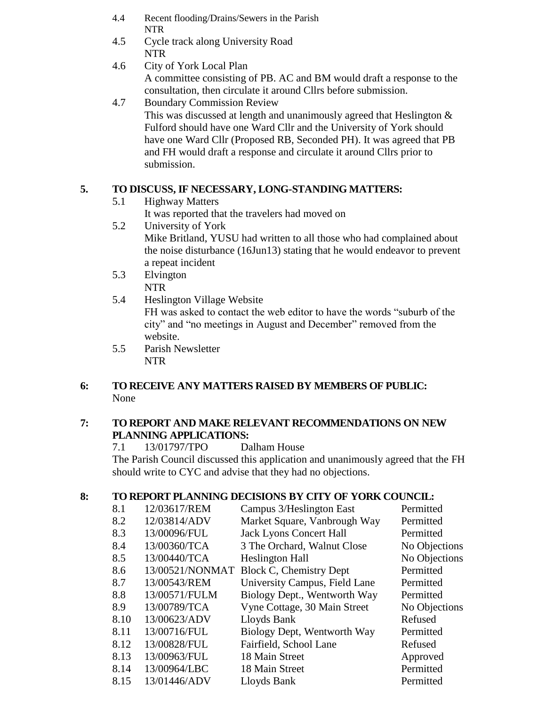- 4.4 Recent flooding/Drains/Sewers in the Parish NTR
- 4.5 Cycle track along University Road NTR
- 4.6 City of York Local Plan A committee consisting of PB. AC and BM would draft a response to the consultation, then circulate it around Cllrs before submission.
- 4.7 Boundary Commission Review This was discussed at length and unanimously agreed that Heslington & Fulford should have one Ward Cllr and the University of York should have one Ward Cllr (Proposed RB, Seconded PH). It was agreed that PB and FH would draft a response and circulate it around Cllrs prior to submission.

# **5. TO DISCUSS, IF NECESSARY, LONG-STANDING MATTERS:**

5.1 Highway Matters

It was reported that the travelers had moved on

- 5.2 University of York Mike Britland, YUSU had written to all those who had complained about the noise disturbance (16Jun13) stating that he would endeavor to prevent a repeat incident
- 5.3 Elvington NTR
- 5.4 Heslington Village Website FH was asked to contact the web editor to have the words "suburb of the city" and "no meetings in August and December" removed from the website.
- 5.5 Parish Newsletter NTR

# **6: TO RECEIVE ANY MATTERS RAISED BY MEMBERS OF PUBLIC:** None

# **7: TO REPORT AND MAKE RELEVANT RECOMMENDATIONS ON NEW PLANNING APPLICATIONS:**

7.1 13/01797/TPO Dalham House The Parish Council discussed this application and unanimously agreed that the FH should write to CYC and advise that they had no objections.

# **8: TO REPORT PLANNING DECISIONS BY CITY OF YORK COUNCIL:**

| 8.1  | 12/03617/REM  | Campus 3/Heslington East                | Permitted     |
|------|---------------|-----------------------------------------|---------------|
| 8.2  | 12/03814/ADV  | Market Square, Vanbrough Way            | Permitted     |
| 8.3  | 13/00096/FUL  | <b>Jack Lyons Concert Hall</b>          | Permitted     |
| 8.4  | 13/00360/TCA  | 3 The Orchard, Walnut Close             | No Objections |
| 8.5  | 13/00440/TCA  | <b>Heslington Hall</b>                  | No Objections |
| 8.6  |               | 13/00521/NONMAT Block C, Chemistry Dept | Permitted     |
| 8.7  | 13/00543/REM  | University Campus, Field Lane           | Permitted     |
| 8.8  | 13/00571/FULM | Biology Dept., Wentworth Way            | Permitted     |
| 8.9  | 13/00789/TCA  | Vyne Cottage, 30 Main Street            | No Objections |
| 8.10 | 13/00623/ADV  | Lloyds Bank                             | Refused       |
| 8.11 | 13/00716/FUL  | Biology Dept, Wentworth Way             | Permitted     |
| 8.12 | 13/00828/FUL  | Fairfield, School Lane                  | Refused       |
| 8.13 | 13/00963/FUL  | 18 Main Street                          | Approved      |
| 8.14 | 13/00964/LBC  | 18 Main Street                          | Permitted     |
| 8.15 | 13/01446/ADV  | Lloyds Bank                             | Permitted     |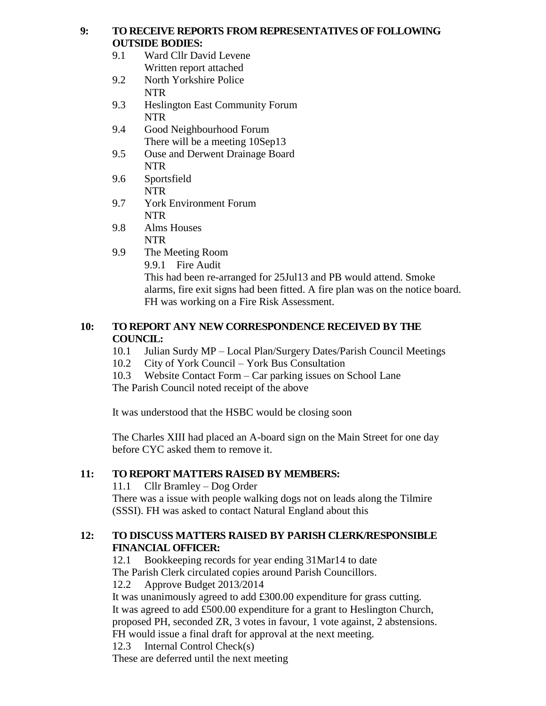## **9: TO RECEIVE REPORTS FROM REPRESENTATIVES OF FOLLOWING OUTSIDE BODIES:**

- 9.1 Ward Cllr David Levene Written report attached
- 9.2 North Yorkshire Police NTR
- 9.3 Heslington East Community Forum NTR
- 9.4 Good Neighbourhood Forum There will be a meeting 10Sep13
- 9.5 Ouse and Derwent Drainage Board NTR
- 9.6 Sportsfield NTR
- 9.7 York Environment Forum NTR
- 9.8 Alms Houses NTR
- 9.9 The Meeting Room
	- 9.9.1 Fire Audit

This had been re-arranged for 25Jul13 and PB would attend. Smoke alarms, fire exit signs had been fitted. A fire plan was on the notice board. FH was working on a Fire Risk Assessment.

# **10: TO REPORT ANY NEW CORRESPONDENCE RECEIVED BY THE COUNCIL:**

- 10.1 Julian Surdy MP Local Plan/Surgery Dates/Parish Council Meetings
- 10.2 City of York Council York Bus Consultation
- 10.3 Website Contact Form Car parking issues on School Lane

The Parish Council noted receipt of the above

It was understood that the HSBC would be closing soon

The Charles XIII had placed an A-board sign on the Main Street for one day before CYC asked them to remove it.

# **11: TO REPORT MATTERS RAISED BY MEMBERS:**

11.1 Cllr Bramley – Dog Order

There was a issue with people walking dogs not on leads along the Tilmire (SSSI). FH was asked to contact Natural England about this

# **12: TO DISCUSS MATTERS RAISED BY PARISH CLERK/RESPONSIBLE FINANCIAL OFFICER:**

12.1 Bookkeeping records for year ending 31Mar14 to date The Parish Clerk circulated copies around Parish Councillors.

12.2 Approve Budget 2013/2014

It was unanimously agreed to add £300.00 expenditure for grass cutting. It was agreed to add £500.00 expenditure for a grant to Heslington Church, proposed PH, seconded ZR, 3 votes in favour, 1 vote against, 2 abstensions. FH would issue a final draft for approval at the next meeting.

12.3 Internal Control Check(s)

These are deferred until the next meeting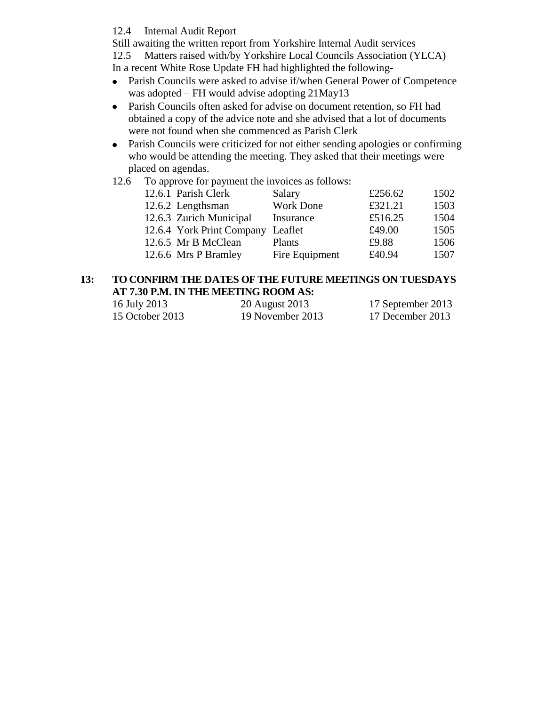## 12.4 Internal Audit Report

Still awaiting the written report from Yorkshire Internal Audit services 12.5 Matters raised with/by Yorkshire Local Councils Association (YLCA)

In a recent White Rose Update FH had highlighted the following-

- Parish Councils were asked to advise if/when General Power of Competence  $\bullet$ was adopted – FH would advise adopting 21May13
- Parish Councils often asked for advise on document retention, so FH had  $\bullet$ obtained a copy of the advice note and she advised that a lot of documents were not found when she commenced as Parish Clerk
- Parish Councils were criticized for not either sending apologies or confirming  $\bullet$ who would be attending the meeting. They asked that their meetings were placed on agendas.
- 12.6 To approve for payment the invoices as follows:

| 1502 |
|------|
| 1503 |
| 1504 |
| 1505 |
| 1506 |
| 1507 |
|      |

### **13: TO CONFIRM THE DATES OF THE FUTURE MEETINGS ON TUESDAYS AT 7.30 P.M. IN THE MEETING ROOM AS:**

| 16 July 2013    | 20 August 2013   | 17 September 2013 |
|-----------------|------------------|-------------------|
| 15 October 2013 | 19 November 2013 | 17 December 2013  |